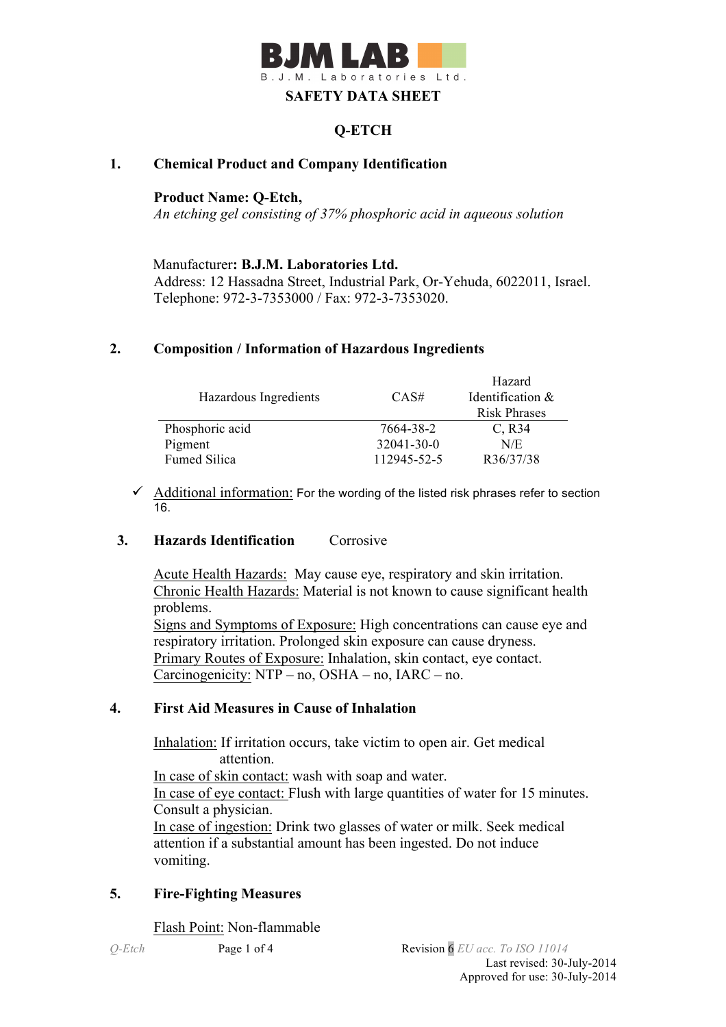

# **Q-ETCH**

#### **1. Chemical Product and Company Identification**

#### **Product Name: Q-Etch,**

*An etching gel consisting of 37% phosphoric acid in aqueous solution*

Manufacturer**: B.J.M. Laboratories Ltd.** Address: 12 Hassadna Street, Industrial Park, Or-Yehuda, 6022011, Israel. Telephone: 972-3-7353000 / Fax: 972-3-7353020.

#### **2. Composition / Information of Hazardous Ingredients**

|                       |                  | Hazard              |
|-----------------------|------------------|---------------------|
| Hazardous Ingredients | CAS#             | Identification &    |
|                       |                  | <b>Risk Phrases</b> |
| Phosphoric acid       | 7664-38-2        | $C$ , R34           |
| Pigment               | $32041 - 30 - 0$ | N/E                 |
| <b>Fumed Silica</b>   | 112945-52-5      | R36/37/38           |

 $\checkmark$  Additional information: For the wording of the listed risk phrases refer to section 16.

#### **3. Hazards Identification** Corrosive

Acute Health Hazards: May cause eye, respiratory and skin irritation. Chronic Health Hazards: Material is not known to cause significant health problems. Signs and Symptoms of Exposure: High concentrations can cause eye and respiratory irritation. Prolonged skin exposure can cause dryness. Primary Routes of Exposure: Inhalation, skin contact, eye contact. Carcinogenicity: NTP – no, OSHA – no, IARC – no.

#### **4. First Aid Measures in Cause of Inhalation**

 Inhalation: If irritation occurs, take victim to open air. Get medical attention. In case of skin contact: wash with soap and water. In case of eye contact: Flush with large quantities of water for 15 minutes. Consult a physician. In case of ingestion: Drink two glasses of water or milk. Seek medical attention if a substantial amount has been ingested. Do not induce vomiting.

## **5. Fire-Fighting Measures**

Flash Point: Non-flammable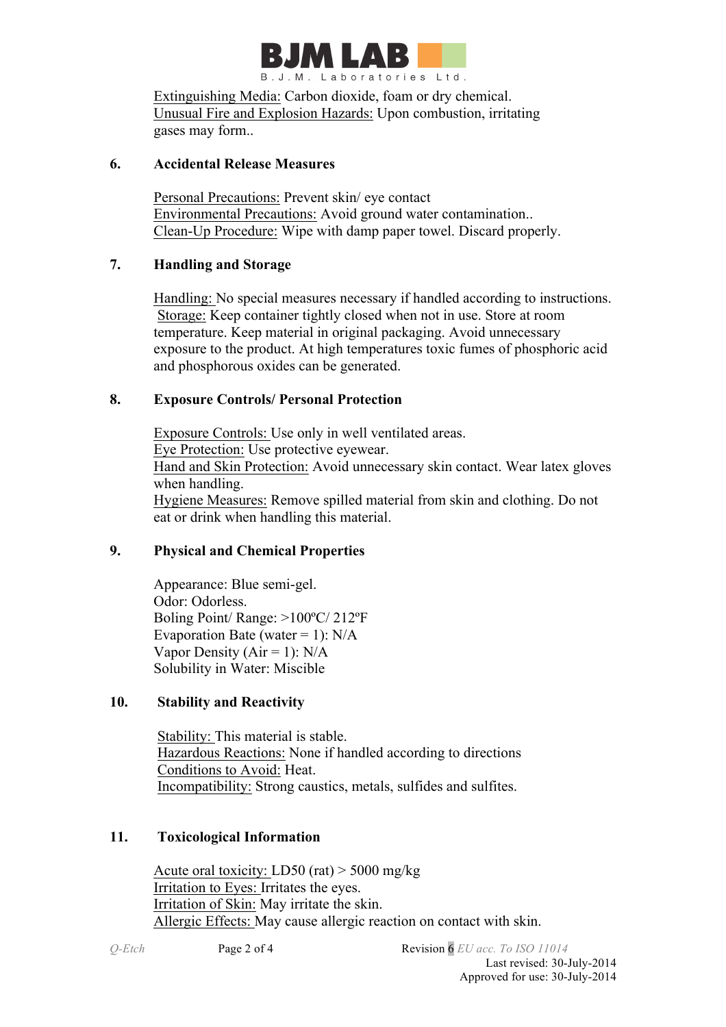

Extinguishing Media: Carbon dioxide, foam or dry chemical. Unusual Fire and Explosion Hazards: Upon combustion, irritating gases may form..

#### **6. Accidental Release Measures**

Personal Precautions: Prevent skin/ eye contact Environmental Precautions: Avoid ground water contamination.. Clean-Up Procedure: Wipe with damp paper towel. Discard properly.

## **7. Handling and Storage**

 Handling: No special measures necessary if handled according to instructions. Storage: Keep container tightly closed when not in use. Store at room temperature. Keep material in original packaging. Avoid unnecessary exposure to the product. At high temperatures toxic fumes of phosphoric acid and phosphorous oxides can be generated.

## **8. Exposure Controls/ Personal Protection**

 Exposure Controls: Use only in well ventilated areas. Eye Protection: Use protective eyewear. Hand and Skin Protection: Avoid unnecessary skin contact. Wear latex gloves when handling. Hygiene Measures: Remove spilled material from skin and clothing. Do not eat or drink when handling this material.

# **9. Physical and Chemical Properties**

Appearance: Blue semi-gel. Odor: Odorless. Boling Point/ Range: >100ºC/ 212ºF Evaporation Bate (water = 1):  $N/A$ Vapor Density ( $Air = 1$ ):  $N/A$ Solubility in Water: Miscible

## **10. Stability and Reactivity**

 Stability: This material is stable. Hazardous Reactions: None if handled according to directions Conditions to Avoid: Heat. Incompatibility: Strong caustics, metals, sulfides and sulfites.

## **11. Toxicological Information**

Acute oral toxicity: LD50 (rat) > 5000 mg/kg Irritation to Eyes: Irritates the eyes. Irritation of Skin: May irritate the skin. Allergic Effects: May cause allergic reaction on contact with skin.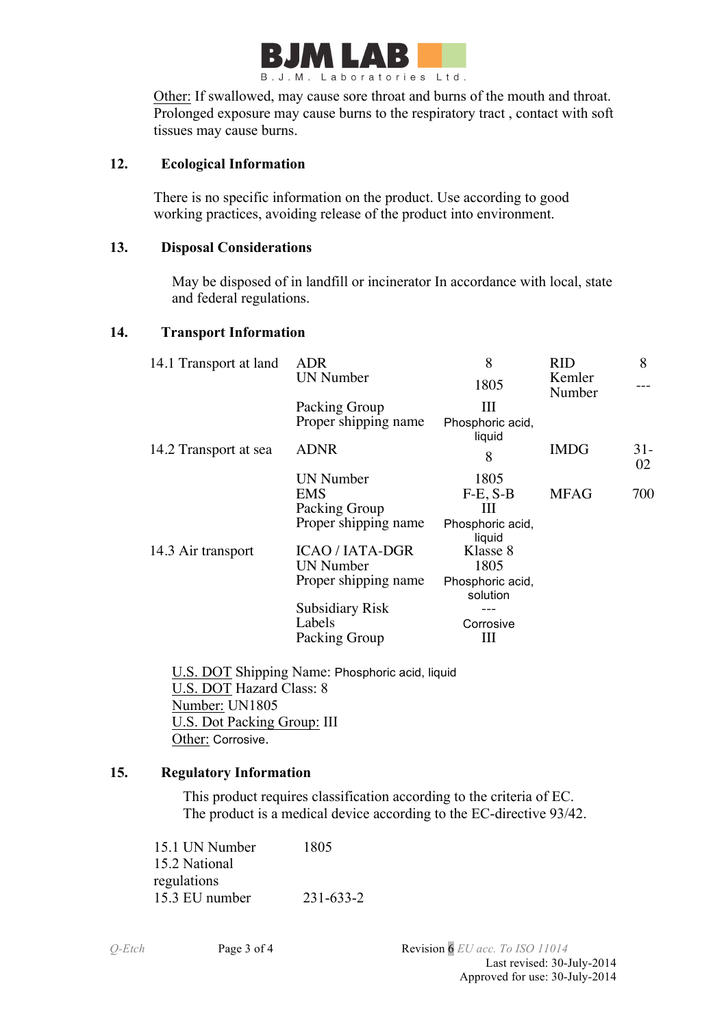

Other: If swallowed, may cause sore throat and burns of the mouth and throat. Prolonged exposure may cause burns to the respiratory tract , contact with soft tissues may cause burns.

#### **12. Ecological Information**

There is no specific information on the product. Use according to good working practices, avoiding release of the product into environment.

#### **13. Disposal Considerations**

 May be disposed of in landfill or incinerator In accordance with local, state and federal regulations.

#### **14. Transport Information**

| 14.1 Transport at land | <b>ADR</b>             | 8                            | <b>RID</b>       | 8           |
|------------------------|------------------------|------------------------------|------------------|-------------|
|                        | <b>UN Number</b>       | 1805                         | Kemler<br>Number |             |
|                        | Packing Group          | Ш                            |                  |             |
|                        | Proper shipping name   | Phosphoric acid,<br>liquid   |                  |             |
| 14.2 Transport at sea  | <b>ADNR</b>            | 8                            | <b>IMDG</b>      | $31-$<br>02 |
|                        | UN Number              | 1805                         |                  |             |
|                        | EMS                    | $F-E, S-B$                   | <b>MFAG</b>      | 700         |
|                        | Packing Group          | Ш                            |                  |             |
|                        | Proper shipping name   | Phosphoric acid,<br>liquid   |                  |             |
| 14.3 Air transport     | <b>ICAO / IATA-DGR</b> | Klasse 8                     |                  |             |
|                        | <b>UN Number</b>       | 1805                         |                  |             |
|                        | Proper shipping name   | Phosphoric acid,<br>solution |                  |             |
|                        | <b>Subsidiary Risk</b> |                              |                  |             |
|                        | Labels                 | Corrosive                    |                  |             |
|                        | Packing Group          | Ш                            |                  |             |

 U.S. DOT Shipping Name: Phosphoric acid, liquid U.S. DOT Hazard Class: 8 Number: UN1805 U.S. Dot Packing Group: III Other: Corrosive.

## **15. Regulatory Information**

This product requires classification according to the criteria of EC. The product is a medical device according to the EC-directive 93/42.

15.1 UN Number 1805 15.2 National regulations 15.3 EU number 231-633-2